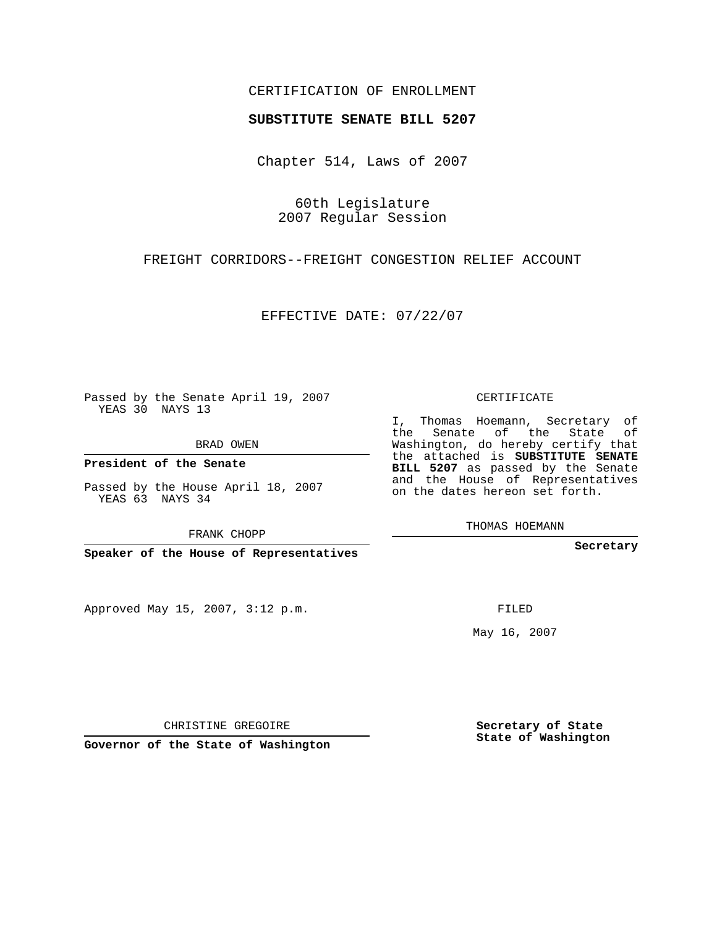## CERTIFICATION OF ENROLLMENT

### **SUBSTITUTE SENATE BILL 5207**

Chapter 514, Laws of 2007

60th Legislature 2007 Regular Session

FREIGHT CORRIDORS--FREIGHT CONGESTION RELIEF ACCOUNT

EFFECTIVE DATE: 07/22/07

Passed by the Senate April 19, 2007 YEAS 30 NAYS 13

BRAD OWEN

**President of the Senate**

Passed by the House April 18, 2007 YEAS 63 NAYS 34

FRANK CHOPP

**Speaker of the House of Representatives**

Approved May 15, 2007, 3:12 p.m.

CERTIFICATE

I, Thomas Hoemann, Secretary of the Senate of the State of Washington, do hereby certify that the attached is **SUBSTITUTE SENATE BILL 5207** as passed by the Senate and the House of Representatives on the dates hereon set forth.

THOMAS HOEMANN

**Secretary**

FILED

May 16, 2007

**Secretary of State State of Washington**

CHRISTINE GREGOIRE

**Governor of the State of Washington**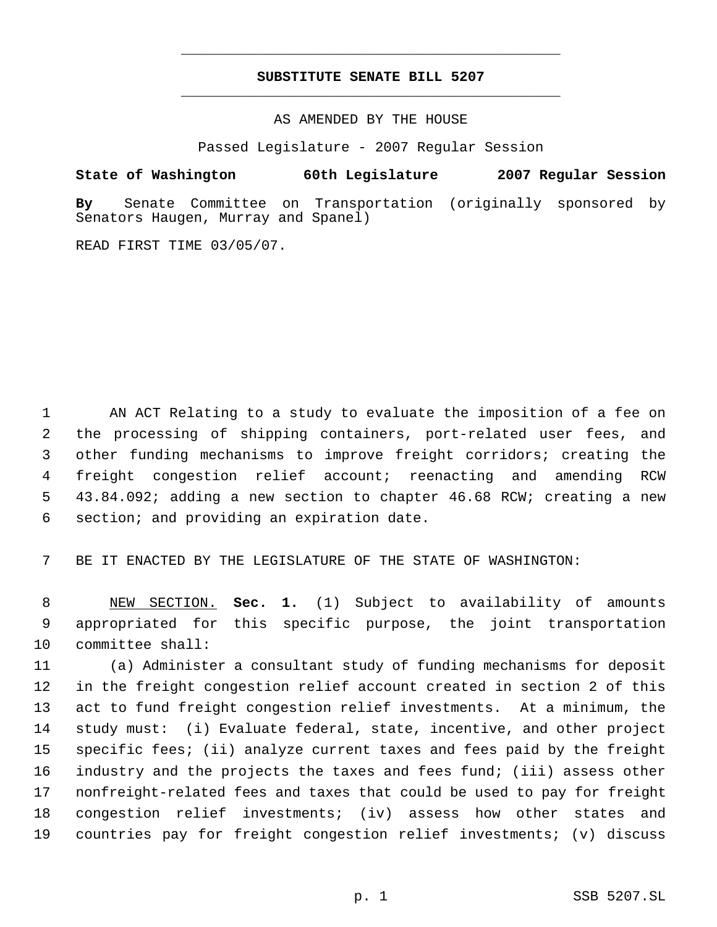# **SUBSTITUTE SENATE BILL 5207** \_\_\_\_\_\_\_\_\_\_\_\_\_\_\_\_\_\_\_\_\_\_\_\_\_\_\_\_\_\_\_\_\_\_\_\_\_\_\_\_\_\_\_\_\_

\_\_\_\_\_\_\_\_\_\_\_\_\_\_\_\_\_\_\_\_\_\_\_\_\_\_\_\_\_\_\_\_\_\_\_\_\_\_\_\_\_\_\_\_\_

AS AMENDED BY THE HOUSE

Passed Legislature - 2007 Regular Session

### **State of Washington 60th Legislature 2007 Regular Session**

**By** Senate Committee on Transportation (originally sponsored by Senators Haugen, Murray and Spanel)

READ FIRST TIME 03/05/07.

 AN ACT Relating to a study to evaluate the imposition of a fee on the processing of shipping containers, port-related user fees, and other funding mechanisms to improve freight corridors; creating the freight congestion relief account; reenacting and amending RCW 43.84.092; adding a new section to chapter 46.68 RCW; creating a new section; and providing an expiration date.

BE IT ENACTED BY THE LEGISLATURE OF THE STATE OF WASHINGTON:

 NEW SECTION. **Sec. 1.** (1) Subject to availability of amounts appropriated for this specific purpose, the joint transportation committee shall:

 (a) Administer a consultant study of funding mechanisms for deposit in the freight congestion relief account created in section 2 of this act to fund freight congestion relief investments. At a minimum, the study must: (i) Evaluate federal, state, incentive, and other project specific fees; (ii) analyze current taxes and fees paid by the freight industry and the projects the taxes and fees fund; (iii) assess other nonfreight-related fees and taxes that could be used to pay for freight congestion relief investments; (iv) assess how other states and countries pay for freight congestion relief investments; (v) discuss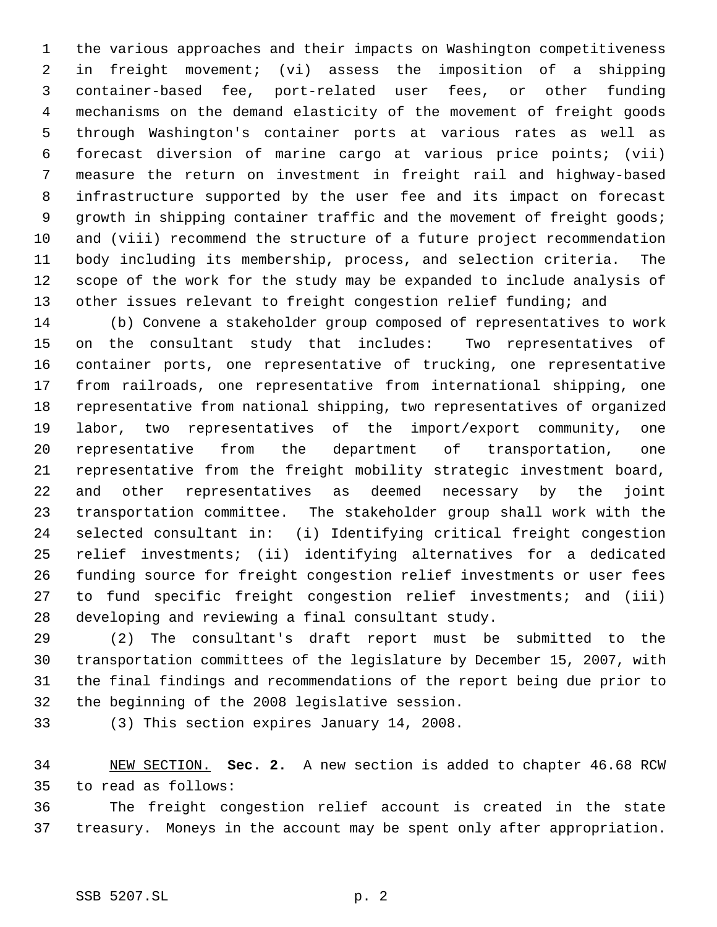the various approaches and their impacts on Washington competitiveness in freight movement; (vi) assess the imposition of a shipping container-based fee, port-related user fees, or other funding mechanisms on the demand elasticity of the movement of freight goods through Washington's container ports at various rates as well as forecast diversion of marine cargo at various price points; (vii) measure the return on investment in freight rail and highway-based infrastructure supported by the user fee and its impact on forecast 9 growth in shipping container traffic and the movement of freight goods; and (viii) recommend the structure of a future project recommendation body including its membership, process, and selection criteria. The scope of the work for the study may be expanded to include analysis of other issues relevant to freight congestion relief funding; and

 (b) Convene a stakeholder group composed of representatives to work on the consultant study that includes: Two representatives of container ports, one representative of trucking, one representative from railroads, one representative from international shipping, one representative from national shipping, two representatives of organized labor, two representatives of the import/export community, one representative from the department of transportation, one representative from the freight mobility strategic investment board, and other representatives as deemed necessary by the joint transportation committee. The stakeholder group shall work with the selected consultant in: (i) Identifying critical freight congestion relief investments; (ii) identifying alternatives for a dedicated funding source for freight congestion relief investments or user fees to fund specific freight congestion relief investments; and (iii) developing and reviewing a final consultant study.

 (2) The consultant's draft report must be submitted to the transportation committees of the legislature by December 15, 2007, with the final findings and recommendations of the report being due prior to the beginning of the 2008 legislative session.

(3) This section expires January 14, 2008.

 NEW SECTION. **Sec. 2.** A new section is added to chapter 46.68 RCW to read as follows:

 The freight congestion relief account is created in the state treasury. Moneys in the account may be spent only after appropriation.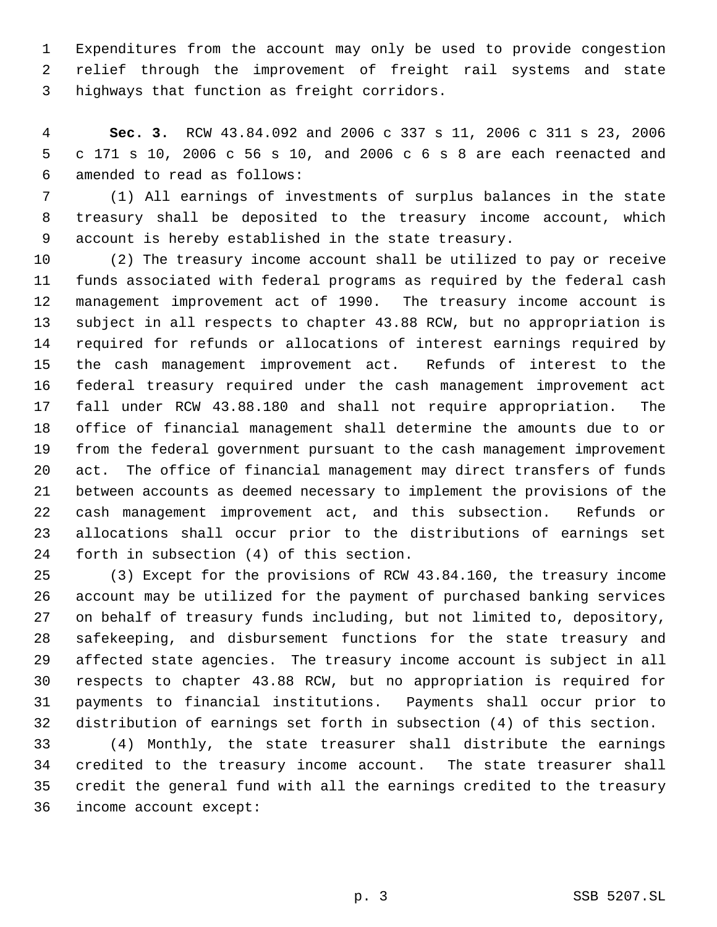Expenditures from the account may only be used to provide congestion relief through the improvement of freight rail systems and state highways that function as freight corridors.

 **Sec. 3.** RCW 43.84.092 and 2006 c 337 s 11, 2006 c 311 s 23, 2006 c 171 s 10, 2006 c 56 s 10, and 2006 c 6 s 8 are each reenacted and amended to read as follows:

 (1) All earnings of investments of surplus balances in the state treasury shall be deposited to the treasury income account, which account is hereby established in the state treasury.

 (2) The treasury income account shall be utilized to pay or receive funds associated with federal programs as required by the federal cash management improvement act of 1990. The treasury income account is subject in all respects to chapter 43.88 RCW, but no appropriation is required for refunds or allocations of interest earnings required by the cash management improvement act. Refunds of interest to the federal treasury required under the cash management improvement act fall under RCW 43.88.180 and shall not require appropriation. The office of financial management shall determine the amounts due to or from the federal government pursuant to the cash management improvement act. The office of financial management may direct transfers of funds between accounts as deemed necessary to implement the provisions of the cash management improvement act, and this subsection. Refunds or allocations shall occur prior to the distributions of earnings set forth in subsection (4) of this section.

 (3) Except for the provisions of RCW 43.84.160, the treasury income account may be utilized for the payment of purchased banking services on behalf of treasury funds including, but not limited to, depository, safekeeping, and disbursement functions for the state treasury and affected state agencies. The treasury income account is subject in all respects to chapter 43.88 RCW, but no appropriation is required for payments to financial institutions. Payments shall occur prior to distribution of earnings set forth in subsection (4) of this section.

 (4) Monthly, the state treasurer shall distribute the earnings credited to the treasury income account. The state treasurer shall credit the general fund with all the earnings credited to the treasury income account except: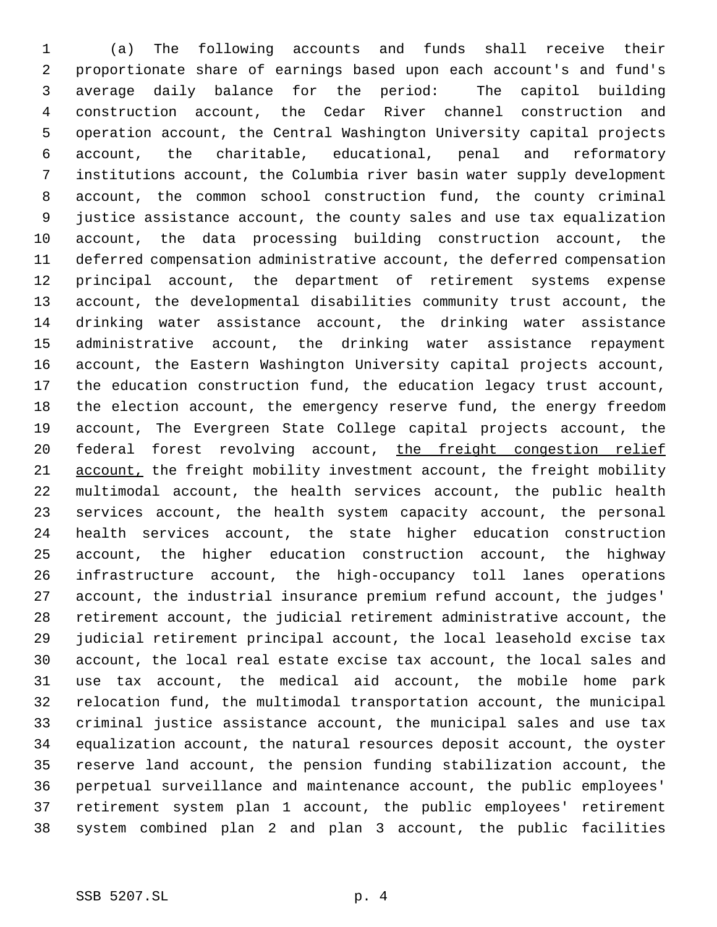(a) The following accounts and funds shall receive their proportionate share of earnings based upon each account's and fund's average daily balance for the period: The capitol building construction account, the Cedar River channel construction and operation account, the Central Washington University capital projects account, the charitable, educational, penal and reformatory institutions account, the Columbia river basin water supply development account, the common school construction fund, the county criminal justice assistance account, the county sales and use tax equalization account, the data processing building construction account, the deferred compensation administrative account, the deferred compensation principal account, the department of retirement systems expense account, the developmental disabilities community trust account, the drinking water assistance account, the drinking water assistance administrative account, the drinking water assistance repayment account, the Eastern Washington University capital projects account, the education construction fund, the education legacy trust account, the election account, the emergency reserve fund, the energy freedom account, The Evergreen State College capital projects account, the 20 federal forest revolving account, the freight congestion relief 21 account, the freight mobility investment account, the freight mobility multimodal account, the health services account, the public health services account, the health system capacity account, the personal health services account, the state higher education construction account, the higher education construction account, the highway infrastructure account, the high-occupancy toll lanes operations account, the industrial insurance premium refund account, the judges' retirement account, the judicial retirement administrative account, the judicial retirement principal account, the local leasehold excise tax account, the local real estate excise tax account, the local sales and use tax account, the medical aid account, the mobile home park relocation fund, the multimodal transportation account, the municipal criminal justice assistance account, the municipal sales and use tax equalization account, the natural resources deposit account, the oyster reserve land account, the pension funding stabilization account, the perpetual surveillance and maintenance account, the public employees' retirement system plan 1 account, the public employees' retirement system combined plan 2 and plan 3 account, the public facilities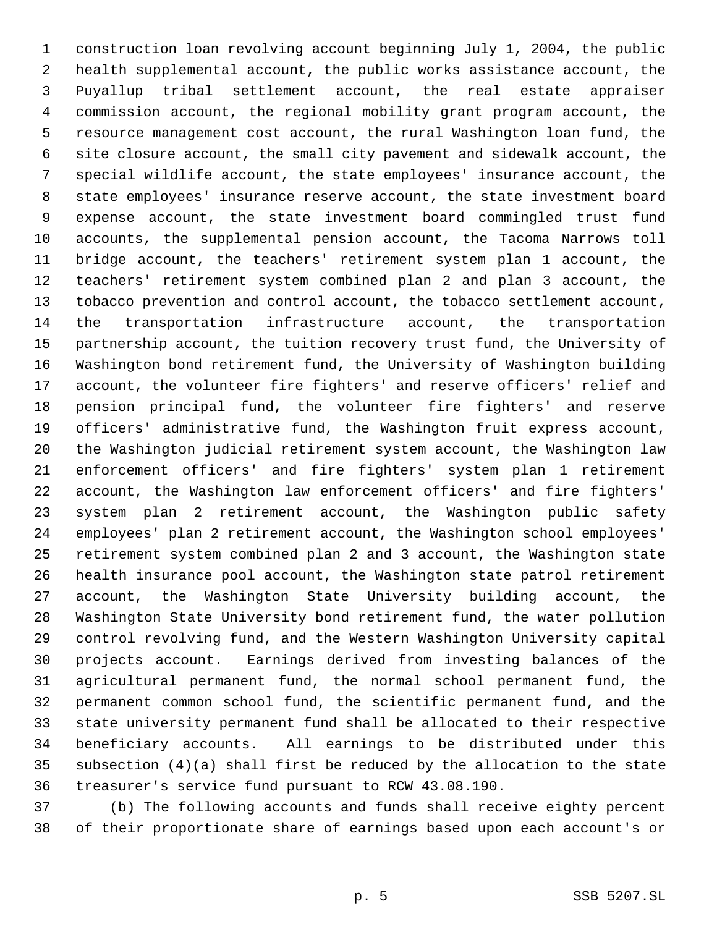construction loan revolving account beginning July 1, 2004, the public health supplemental account, the public works assistance account, the Puyallup tribal settlement account, the real estate appraiser commission account, the regional mobility grant program account, the resource management cost account, the rural Washington loan fund, the site closure account, the small city pavement and sidewalk account, the special wildlife account, the state employees' insurance account, the state employees' insurance reserve account, the state investment board expense account, the state investment board commingled trust fund accounts, the supplemental pension account, the Tacoma Narrows toll bridge account, the teachers' retirement system plan 1 account, the teachers' retirement system combined plan 2 and plan 3 account, the tobacco prevention and control account, the tobacco settlement account, the transportation infrastructure account, the transportation partnership account, the tuition recovery trust fund, the University of Washington bond retirement fund, the University of Washington building account, the volunteer fire fighters' and reserve officers' relief and pension principal fund, the volunteer fire fighters' and reserve officers' administrative fund, the Washington fruit express account, the Washington judicial retirement system account, the Washington law enforcement officers' and fire fighters' system plan 1 retirement account, the Washington law enforcement officers' and fire fighters' system plan 2 retirement account, the Washington public safety employees' plan 2 retirement account, the Washington school employees' retirement system combined plan 2 and 3 account, the Washington state health insurance pool account, the Washington state patrol retirement account, the Washington State University building account, the Washington State University bond retirement fund, the water pollution control revolving fund, and the Western Washington University capital projects account. Earnings derived from investing balances of the agricultural permanent fund, the normal school permanent fund, the permanent common school fund, the scientific permanent fund, and the state university permanent fund shall be allocated to their respective beneficiary accounts. All earnings to be distributed under this subsection (4)(a) shall first be reduced by the allocation to the state treasurer's service fund pursuant to RCW 43.08.190.

 (b) The following accounts and funds shall receive eighty percent of their proportionate share of earnings based upon each account's or